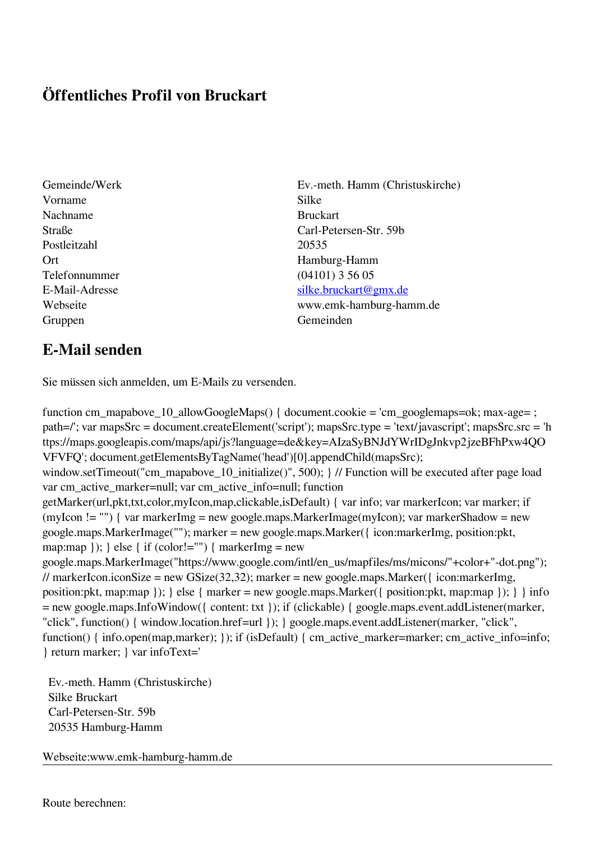## **Öffentliches Profil von Bruckart**

- Vorname Silke Nachname Bruckart Postleitzahl 20535 Telefonnummer (04101) 3 56 05 Gruppen Gemeinden Gemeinden Gemeinden Gemeinden Gemeinden Gemeinden Gemeinden Gemeinden Gemeinden Gemeinden G
- Gemeinde/Werk Ev.-meth. Hamm (Christuskirche) Straße Carl-Petersen-Str. 59b Ort Hamburg-Hamm E-Mail-Adresse [silke.bruckart@gmx.de](mailto:silke.bruckart@gmx.de) Webseite www.emk-hamburg-hamm.de

## **E-Mail senden**

Sie müssen sich anmelden, um E-Mails zu versenden.

function cm\_mapabove\_10\_allowGoogleMaps() { document.cookie = 'cm\_googlemaps=ok; max-age= ; path=/'; var mapsSrc = document.createElement('script'); mapsSrc.type = 'text/javascript'; mapsSrc.src = 'h ttps://maps.googleapis.com/maps/api/js?language=de&key=AIzaSyBNJdYWrIDgJnkvp2jzeBFhPxw4QO VFVFQ'; document.getElementsByTagName('head')[0].appendChild(mapsSrc); window.setTimeout("cm\_mapabove\_10\_initialize()", 500); } // Function will be executed after page load var cm\_active\_marker=null; var cm\_active\_info=null; function getMarker(url,pkt,txt,color,myIcon,map,clickable,isDefault) { var info; var markerIcon; var marker; if (myIcon != "") { var markerImg = new google.maps.MarkerImage(myIcon); var markerShadow = new google.maps.MarkerImage(""); marker = new google.maps.Marker({ icon:markerImg, position:pkt, map:map  $\}$ ;  $\}$  else  $\{$  if (color!="")  $\{$  markerImg = new google.maps.MarkerImage("https://www.google.com/intl/en\_us/mapfiles/ms/micons/"+color+"-dot.png"); // markerIcon.iconSize = new GSize(32,32); marker = new google.maps.Marker({ $i$ con:markerImg, position:pkt, map:map }); } else { marker = new google.maps.Marker({ position:pkt, map:map }); } } info = new google.maps.InfoWindow({ content: txt }); if (clickable) { google.maps.event.addListener(marker, "click", function() { window.location.href=url }); } google.maps.event.addListener(marker, "click", function() { info.open(map,marker); }); if (isDefault) { cm\_active\_marker=marker; cm\_active\_info=info; } return marker; } var infoText='

 Ev.-meth. Hamm (Christuskirche) Silke Bruckart Carl-Petersen-Str. 59b 20535 Hamburg-Hamm

Webseite:www.emk-hamburg-hamm.de